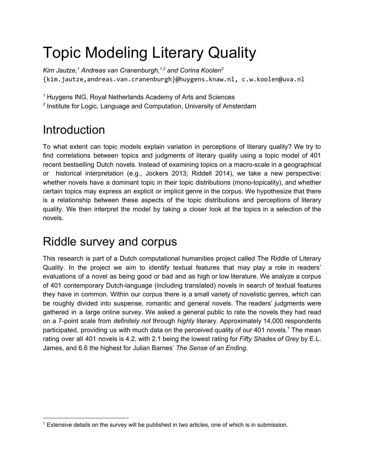# Topic Modeling Literary Quality

*Kim Jautze, <sup>1</sup> Andreas van Cranenburgh, 1,2 and Corina Koolen 2* {kim.jautze,andreas.van.cranenburgh}@huygens.knaw.nl,c.w.koolen@uva.nl

*<sup>1</sup>* Huygens ING, Royal Netherlands Academy of Arts and Sciences

*2* Institute for Logic, Language and Computation, University of Amsterdam

# Introduction

To what extent can topic models explain variation in perceptions of literary quality? We try to find correlations between topics and judgments of literary quality using a topic model of 401 recent bestselling Dutch novels. Instead of examining topics on a macro-scale in a geographical or historical interpretation (e.g., Jockers 2013; Riddell 2014), we take a new perspective: whether novels have a dominant topic in their topic distributions (mono-topicality), and whether certain topics may express an explicit or implicit genre in the corpus. We hypothesize that there is a relationship between these aspects of the topic distributions and perceptions of literary quality. We then interpret the model by taking a closer look at the topics in a selection of the novels.

## Riddle survey and corpus

This research is part of a Dutch computational humanities project called The Riddle of Literary Quality. In the project we aim to identify textual features that may play a role in readers' evaluations of a novel as being good or bad and as high or low literature. We analyze a corpus of 401 contemporary Dutch-language (including translated) novels in search of textual features they have in common. Within our corpus there is a small variety of novelistic genres, which can be roughly divided into suspense, romantic and general novels. The readers' judgments were gathered in a large online survey. We asked a general public to rate the novels they had read on a 7point scale from *definitely not* through *highly* literary. Approximately 14,000 respondents participated, providing us with much data on the perceived quality of our 401 novels.<sup>1</sup> The mean rating over all 401 novels is 4.2, with 2.1 being the lowest rating for *Fifty Shades of Grey* by E.L. James, and 6.6 the highest for Julian Barnes' *The Sense of an Ending*.

<sup>&</sup>lt;sup>1</sup> Extensive details on the survey will be published in two articles, one of which is in submission.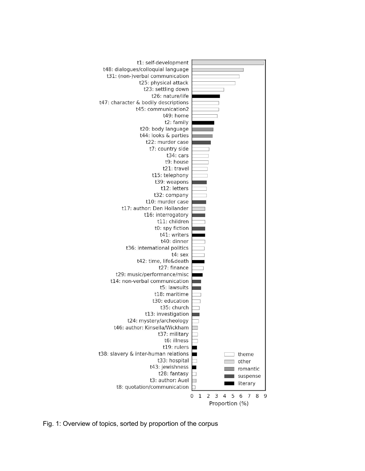

Fig. 1: Overview of topics, sorted by proportion of the corpus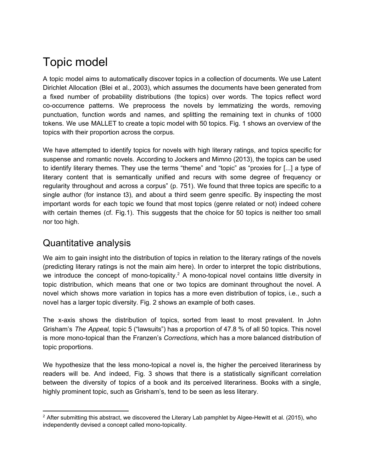# Topic model

A topic model aims to automatically discover topics in a collection of documents. We use Latent Dirichlet Allocation (Blei et al., 2003), which assumes the documents have been generated from a fixed number of probability distributions (the topics) over words. The topics reflect word cooccurrence patterns. We preprocess the novels by lemmatizing the words, removing punctuation, function words and names, and splitting the remaining text in chunks of 1000 tokens. We use MALLET to create a topic model with 50 topics. Fig. 1 shows an overview of the topics with their proportion across the corpus.

We have attempted to identify topics for novels with high literary ratings, and topics specific for suspense and romantic novels. According to Jockers and Mimno (2013), the topics can be used to identify literary themes. They use the terms "theme" and "topic" as "proxies for [...] a type of literary content that is semantically unified and recurs with some degree of frequency or regularity throughout and across a corpus" (p. 751). We found that three topics are specific to a single author (for instance t3), and about a third seem genre specific. By inspecting the most important words for each topic we found that most topics (genre related or not) indeed cohere with certain themes (cf. Fig.1). This suggests that the choice for 50 topics is neither too small nor too high.

#### Quantitative analysis

We aim to gain insight into the distribution of topics in relation to the literary ratings of the novels (predicting literary ratings is not the main aim here). In order to interpret the topic distributions, we introduce the concept of mono-topicality.<sup>2</sup> A mono-topical novel contains little diversity in topic distribution, which means that one or two topics are dominant throughout the novel. A novel which shows more variation in topics has a more even distribution of topics, i.e., such a novel has a larger topic diversity. Fig. 2 shows an example of both cases.

The x-axis shows the distribution of topics, sorted from least to most prevalent. In John Grisham's *The Appeal,* topic 5 ("lawsuits") has a proportion of 47.8 % of all 50 topics. This novel is more mono-topical than the Franzen's *Corrections*, which has a more balanced distribution of topic proportions.

We hypothesize that the less mono-topical a novel is, the higher the perceived literariness by readers will be. And indeed, Fig. 3 shows that there is a statistically significant correlation between the diversity of topics of a book and its perceived literariness. Books with a single, highly prominent topic, such as Grisham's, tend to be seen as less literary.

 $2$  After submitting this abstract, we discovered the Literary Lab pamphlet by Algee-Hewitt et al. (2015), who independently devised a concept called mono-topicality.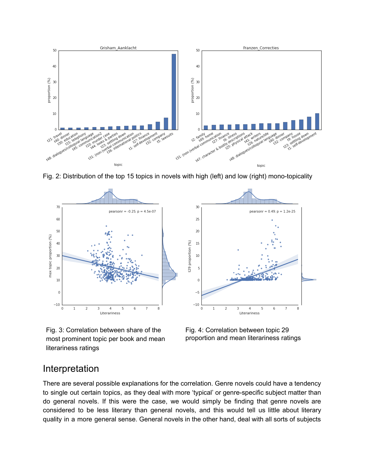

Fig. 2: Distribution of the top 15 topics in novels with high (left) and low (right) mono-topicality







#### Interpretation

There are several possible explanations for the correlation. Genre novels could have a tendency to single out certain topics, as they deal with more 'typical' or genre-specific subject matter than do general novels. If this were the case, we would simply be finding that genre novels are considered to be less literary than general novels, and this would tell us little about literary quality in a more general sense. General novels in the other hand, deal with all sorts of subjects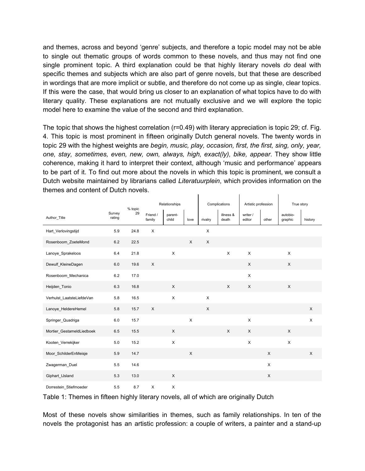and themes, across and beyond 'genre' subjects, and therefore a topic model may not be able to single out thematic groups of words common to these novels, and thus may not find one single prominent topic. A third explanation could be that highly literary novels *do* deal with specific themes and subjects which are also part of genre novels, but that these are described in wordings that are more implicit or subtle, and therefore do not come up as single, clear topics. If this were the case, that would bring us closer to an explanation of what topics have to do with literary quality. These explanations are not mutually exclusive and we will explore the topic model here to examine the value of the second and third explanation.

The topic that shows the highest correlation (r=0.49) with literary appreciation is topic 29; cf. Fig. 4. This topic is most prominent in fifteen originally Dutch general novels. The twenty words in topic 29 with the highest weights are *begin, music, play, occasion, first, the first, sing, only, year, one, stay, sometimes, even, new, own, always, high, exact(ly), bike, appear*. They show little coherence, making it hard to interpret their context, although 'music and performance' appears to be part of it. To find out more about the novels in which this topic is prominent, we consult a Dutch website maintained by librarians called *Literatuurplein*, which provides information on the themes and content of Dutch novels.  $\mathbf{L}$  $\mathbf{L}$  $\mathbf{L}$ 

|                           |                  | % topic | Relationships      |                  |      | Complications  |                    | Artistic profession |                | True story          |                |
|---------------------------|------------------|---------|--------------------|------------------|------|----------------|--------------------|---------------------|----------------|---------------------|----------------|
| Author_Title              | Survey<br>rating | 29      | Friend /<br>family | parent-<br>child | love | rivalry        | illness &<br>death | writer /<br>editor  | other          | autobio-<br>graphic | history        |
| Hart Verlovingstijd       | 5.9              | 24.8    | X                  |                  |      | X              |                    |                     |                |                     |                |
| Rosenboom ZoeteMond       | 6.2              | 22.5    |                    |                  | X    | $\pmb{\times}$ |                    |                     |                |                     |                |
| Lanoye Sprakeloos         | 6.4              | 21.8    |                    | X                |      |                | X                  | $\pmb{\times}$      |                | X                   |                |
| Dewulf_KleineDagen        | 6.0              | 19.6    | $\mathsf X$        |                  |      |                |                    | $\mathsf{X}$        |                | X                   |                |
| Rosenboom_Mechanica       | 6.2              | 17.0    |                    |                  |      |                |                    | $\mathsf X$         |                |                     |                |
| Heijden_Tonio             | 6.3              | 16.8    |                    | $\pmb{\times}$   |      |                | X                  | $\pmb{\times}$      |                | X                   |                |
| Verhulst_LaatsteLiefdeVan | 5.8              | 16.5    |                    | $\pmb{\times}$   |      | $\pmb{\times}$ |                    |                     |                |                     |                |
| Lanoye_HeldereHemel       | 5.8              | 15.7    | $\mathsf X$        |                  |      | X              |                    |                     |                |                     | X              |
| Springer_Quadriga         | 6.0              | 15.7    |                    |                  | X    |                |                    | $\pmb{\times}$      |                |                     | $\pmb{\times}$ |
| Mortier GestameldLiedboek | 6.5              | 15.5    |                    | $\times$         |      |                | X                  | X                   |                | X                   |                |
| Kooten Verrekijker        | $5.0\,$          | 15.2    |                    | $\pmb{\times}$   |      |                |                    | $\pmb{\times}$      |                | $\pmb{\times}$      |                |
| Moor_SchilderEnMeisje     | 5.9              | 14.7    |                    |                  | X    |                |                    |                     | X              |                     | X              |
| Zwagerman_Duel            | 5.5              | 14.6    |                    |                  |      |                |                    |                     | $\pmb{\times}$ |                     |                |
| Giphart_IJsland           | 5.3              | 13.0    |                    | X                |      |                |                    |                     | X              |                     |                |
| Dorrestein Stiefmoeder    | 5.5              | 8.7     | X                  | X                |      |                |                    |                     |                |                     |                |

Table 1: Themes in fifteen highly literary novels, all of which are originally Dutch

Most of these novels show similarities in themes, such as family relationships. In ten of the novels the protagonist has an artistic profession: a couple of writers, a painter and a stand-up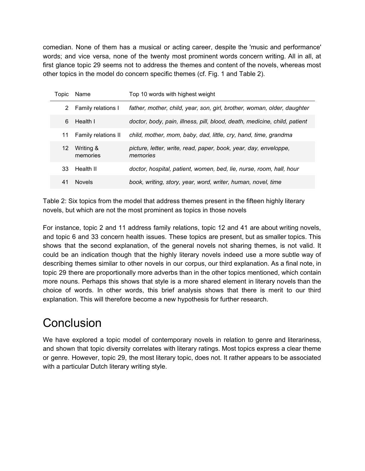comedian. None of them has a musical or acting career, despite the 'music and performance' words; and vice versa, none of the twenty most prominent words concern writing. All in all, at first glance topic 29 seems not to address the themes and content of the novels, whereas most other topics in the model do concern specific themes (cf. Fig. 1 and Table 2).

| Topic | Name                  | Top 10 words with highest weight                                             |
|-------|-----------------------|------------------------------------------------------------------------------|
|       | 2 Family relations I  | father, mother, child, year, son, girl, brother, woman, older, daughter      |
| 6     | Health I              | doctor, body, pain, illness, pill, blood, death, medicine, child, patient    |
| 11    | Family relations II   | child, mother, mom, baby, dad, little, cry, hand, time, grandma              |
| 12    | Writing &<br>memories | picture, letter, write, read, paper, book, year, day, enveloppe,<br>memories |
| 33    | Health II             | doctor, hospital, patient, women, bed, lie, nurse, room, hall, hour          |
| 41    | <b>Novels</b>         | book, writing, story, year, word, writer, human, novel, time                 |

Table 2: Six topics from the model that address themes present in the fifteen highly literary novels, but which are not the most prominent as topics in those novels

For instance, topic 2 and 11 address family relations, topic 12 and 41 are about writing novels, and topic 6 and 33 concern health issues. These topics are present, but as smaller topics. This shows that the second explanation, of the general novels not sharing themes, is not valid. It could be an indication though that the highly literary novels indeed use a more subtle way of describing themes similar to other novels in our corpus, our third explanation. As a final note, in topic 29 there are proportionally more adverbs than in the other topics mentioned, which contain more nouns. Perhaps this shows that style is a more shared element in literary novels than the choice of words. In other words, this brief analysis shows that there is merit to our third explanation. This will therefore become a new hypothesis for further research.

## **Conclusion**

We have explored a topic model of contemporary novels in relation to genre and literariness, and shown that topic diversity correlates with literary ratings. Most topics express a clear theme or genre. However, topic 29, the most literary topic, does not. It rather appears to be associated with a particular Dutch literary writing style.